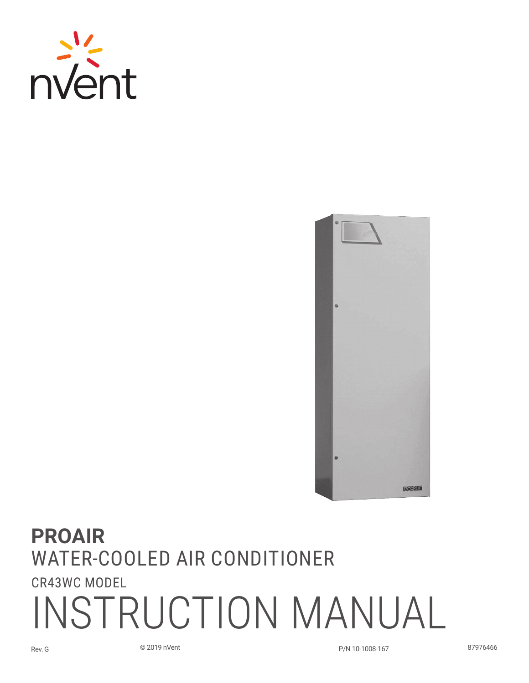



# **PROAIR** Water-Cooled Air Conditioner CR43WC Model INSTRUCTION MANUAL

Rev. G © 2019 nVent P/N 10-1008-167 87976466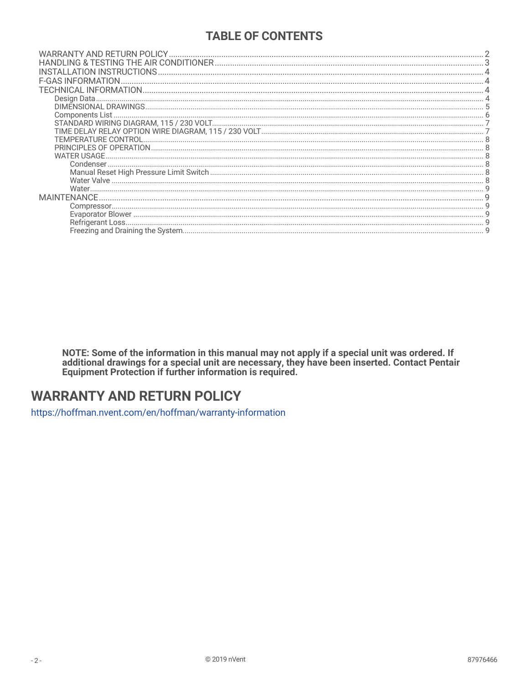## **TABLE OF CONTENTS**

| Components List |  |
|-----------------|--|
|                 |  |
|                 |  |
|                 |  |
|                 |  |
|                 |  |
|                 |  |
|                 |  |
|                 |  |
|                 |  |
|                 |  |
|                 |  |
|                 |  |
|                 |  |

NOTE: Some of the information in this manual may not apply if a special unit was ordered. If additional drawings for a special unit are necessary, they have been inserted. Contact Pentair Equipment Protection if further in

## **WARRANTY AND RETURN POLICY**

https://hoffman.nvent.com/en/hoffman/warranty-information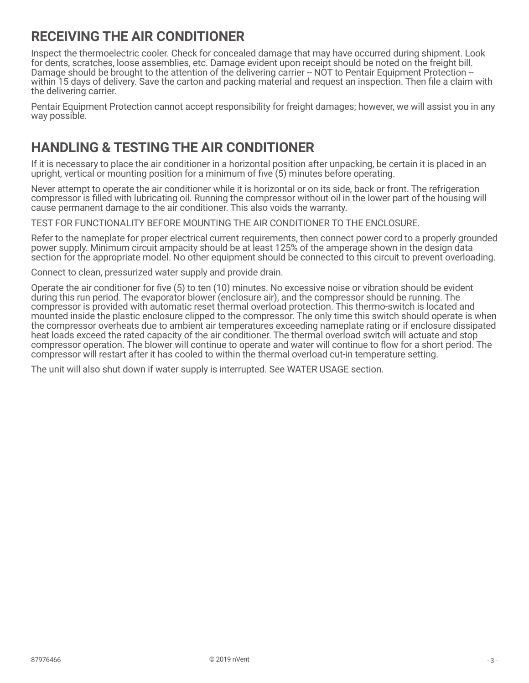# <span id="page-2-0"></span>**RECEIVING THE AIR CONDITIONER**

Inspect the thermoelectric cooler. Check for concealed damage that may have occurred during shipment. Look for dents, scratches, loose assemblies, etc. Damage evident upon receipt should be noted on the freight bill. Damage should be brought to the attention of the delivering carrier -- NOT to Pentair Equipment Protection -within 15 days of delivery. Save the carton and packing material and request an inspection. Then file a claim with the delivering carrier.

Pentair Equipment Protection cannot accept responsibility for freight damages; however, we will assist you in any way possible.

# <span id="page-2-1"></span>**HANDLING & TESTING THE AIR CONDITIONER**

If it is necessary to place the air conditioner in a horizontal position after unpacking, be certain it is placed in an upright, vertical or mounting position for a minimum of five (5) minutes before operating.

Never attempt to operate the air conditioner while it is horizontal or on its side, back or front. The refrigeration compressor is filled with lubricating oil. Running the compressor without oil in the lower part of the housing will cause permanent damage to the air conditioner. This also voids the warranty.

TEST FOR FUNCTIONALITY BEFORE MOUNTING THE AIR CONDITIONER TO THE ENCLOSURE.

Refer to the nameplate for proper electrical current requirements, then connect power cord to a properly grounded power supply. Minimum circuit ampacity should be at least 125% of the amperage shown in the design data section for the appropriate model. No other equipment should be connected to this circuit to prevent overloading.

Connect to clean, pressurized water supply and provide drain.

Operate the air conditioner for five (5) to ten (10) minutes. No excessive noise or vibration should be evident during this run period. The evaporator blower (enclosure air), and the compressor should be running. The compressor is provided with automatic reset thermal overload protection. This thermo-switch is located and mounted inside the plastic enclosure clipped to the compressor. The only time this switch should operate is when the compressor overheats due to ambient air temperatures exceeding nameplate rating or if enclosure dissipated heat loads exceed the rated capacity of the air conditioner. The thermal overload switch will actuate and stop compressor operation. The blower will continue to operate and water will continue to flow for a short period. The compressor will restart after it has cooled to within the thermal overload cut-in temperature setting.

The unit will also shut down if water supply is interrupted. See WATER USAGE section.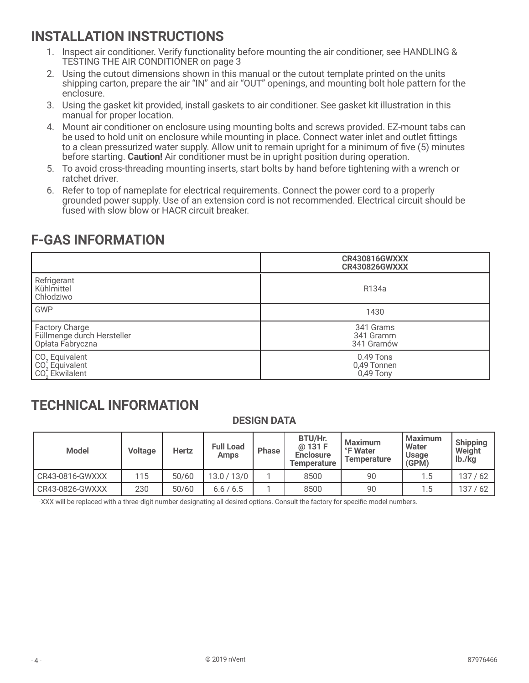# <span id="page-3-0"></span>**INSTALLATION INSTRUCTIONS**

- 1. Inspect air conditioner. Verify functionality before mounting the air conditioner, see [HANDLING &](#page-2-1)  [TESTING THE AIR CONDITIONER on page 3](#page-2-1)
- 2. Using the cutout dimensions shown in this manual or the cutout template printed on the units shipping carton, prepare the air "IN" and air "OUT" openings, and mounting bolt hole pattern for the enclosure.
- 3. Using the gasket kit provided, install gaskets to air conditioner. See gasket kit illustration in this manual for proper location.
- 4. Mount air conditioner on enclosure using mounting bolts and screws provided. EZ-mount tabs can be used to hold unit on enclosure while mounting in place. Connect water inlet and outlet fittings to a clean pressurized water supply. Allow unit to remain upright for a minimum of five (5) minutes before starting. **Caution!** Air conditioner must be in upright position during operation.
- 5. To avoid cross-threading mounting inserts, start bolts by hand before tightening with a wrench or ratchet driver.
- 6. Refer to top of nameplate for electrical requirements. Connect the power cord to a properly grounded power supply. Use of an extension cord is not recommended. Electrical circuit should be fused with slow blow or HACR circuit breaker.

|                                                                              | <b>CR430816GWXXX</b><br><b>CR430826GWXXX</b> |
|------------------------------------------------------------------------------|----------------------------------------------|
| Refrigerant<br>Kühlmittel<br>Chłodziwo                                       | R134a                                        |
| <b>GWP</b>                                                                   | 1430                                         |
| Factory Charge<br>Füllmenge durch Hersteller<br>Opłata Fabryczna             | 341 Grams<br>341 Gramm<br>341 Gramów         |
| CO <sub>2</sub> Equivalent<br>CO <sub>2</sub> Equivalent<br>$CO2$ Ekwilalent | $0.49$ Tons<br>0,49 Tonnen<br>0,49 Tony      |

# **F-GAS INFORMATION**

# **TECHNICAL INFORMATION**

#### **DESIGN DATA**

| <b>Model</b>       | <b>Voltage</b> | <b>Hertz</b> | <b>Full Load</b><br><b>Amps</b> | <b>Phase</b> | BTU/Hr.<br>@ 131 F<br><b>Enclosure</b><br><b>Temperature</b> | Maximum<br>°F Water<br><b>Temperature</b> | <b>Maximum</b><br>Water<br><b>Usage</b><br>(GPM) | <b>Shipping</b><br>Weight<br>$\vert$ lb./kg |
|--------------------|----------------|--------------|---------------------------------|--------------|--------------------------------------------------------------|-------------------------------------------|--------------------------------------------------|---------------------------------------------|
| $CR43-0816$ -GWXXX | 115            | 50/60        | 13.0 / 13/0                     |              | 8500                                                         | 90                                        | 1.5                                              | 137/62                                      |
| CR43-0826-GWXXX    | 230            | 50/60        | 6.6/6.5                         |              | 8500                                                         | 90                                        | 1.5                                              | 137/62                                      |

-XXX will be replaced with a three-digit number designating all desired options. Consult the factory for specific model numbers.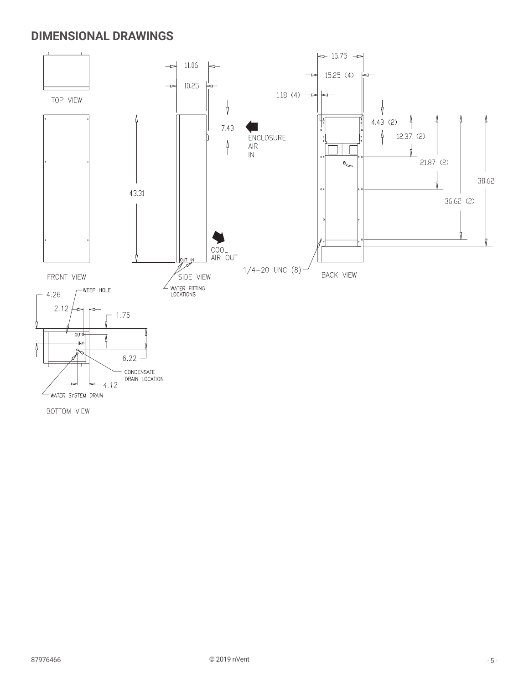## <span id="page-4-0"></span>**DIMENSIONAL DRAWINGS**

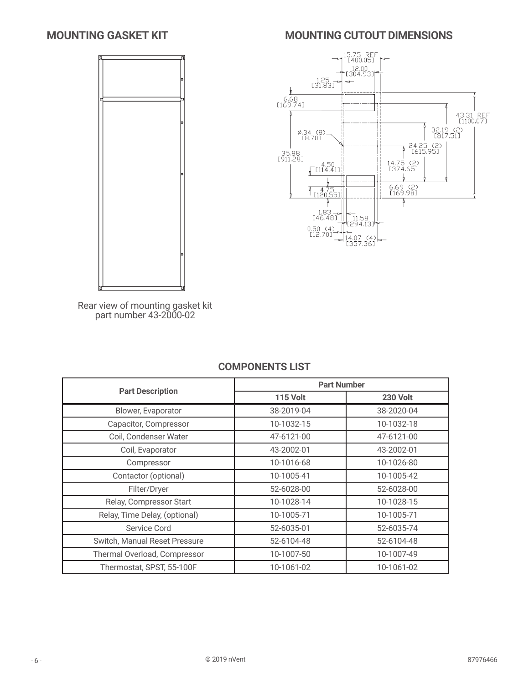## <span id="page-5-0"></span>**MOUNTING GASKET KIT**



## **MOUNTING CUTOUT DIMENSIONS**



Rear view of mounting gasket kit part number 43-2000-02

#### **COMPONENTS LIST**

|                               | <b>Part Number</b> |                 |  |  |  |
|-------------------------------|--------------------|-----------------|--|--|--|
| <b>Part Description</b>       | <b>115 Volt</b>    | <b>230 Volt</b> |  |  |  |
| Blower, Evaporator            | 38-2019-04         | 38-2020-04      |  |  |  |
| Capacitor, Compressor         | 10-1032-15         | 10-1032-18      |  |  |  |
| Coil, Condenser Water         | 47-6121-00         | 47-6121-00      |  |  |  |
| Coil, Evaporator              | 43-2002-01         | 43-2002-01      |  |  |  |
| Compressor                    | 10-1016-68         | 10-1026-80      |  |  |  |
| Contactor (optional)          | 10-1005-41         | 10-1005-42      |  |  |  |
| Filter/Dryer                  | 52-6028-00         | 52-6028-00      |  |  |  |
| Relay, Compressor Start       | 10-1028-14         | 10-1028-15      |  |  |  |
| Relay, Time Delay, (optional) | 10-1005-71         | 10-1005-71      |  |  |  |
| Service Cord                  | 52-6035-01         | 52-6035-74      |  |  |  |
| Switch, Manual Reset Pressure | 52-6104-48         | 52-6104-48      |  |  |  |
| Thermal Overload, Compressor  | 10-1007-50         | 10-1007-49      |  |  |  |
| Thermostat, SPST, 55-100F     | 10-1061-02         | 10-1061-02      |  |  |  |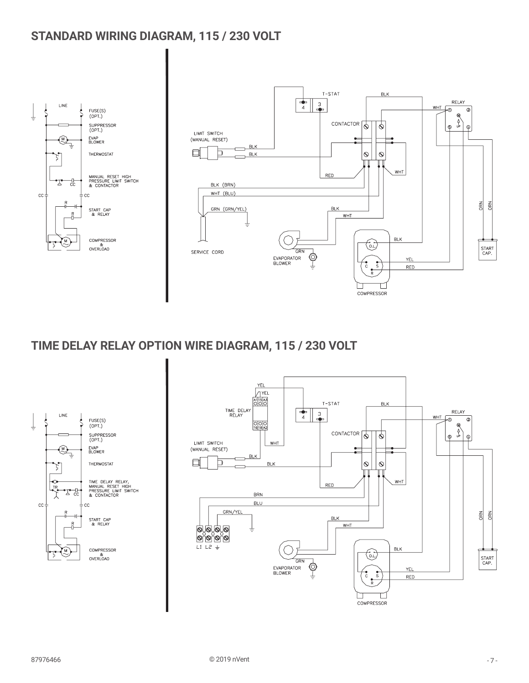# <span id="page-6-0"></span>**STANDARD WIRING DIAGRAM, 115 / 230 VOLT**



# **TIME DELAY RELAY OPTION WIRE DIAGRAM, 115 / 230 VOLT**



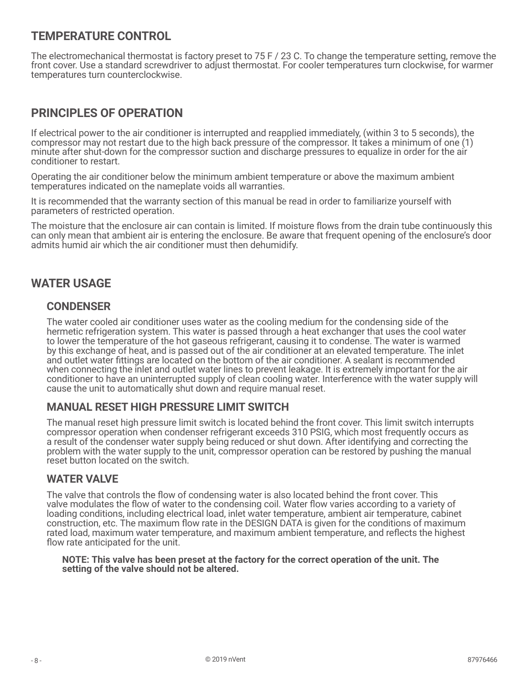## <span id="page-7-0"></span>**TEMPERATURE CONTROL**

The electromechanical thermostat is factory preset to 75 F / 23 C. To change the temperature setting, remove the front cover. Use a standard screwdriver to adjust thermostat. For cooler temperatures turn clockwise, for warmer temperatures turn counterclockwise.

## **PRINCIPLES OF OPERATION**

If electrical power to the air conditioner is interrupted and reapplied immediately, (within 3 to 5 seconds), the compressor may not restart due to the high back pressure of the compressor. It takes a minimum of one (1) minute after shut-down for the compressor suction and discharge pressures to equalize in order for the air conditioner to restart.

Operating the air conditioner below the minimum ambient temperature or above the maximum ambient temperatures indicated on the nameplate voids all warranties.

It is recommended that the warranty section of this manual be read in order to familiarize yourself with parameters of restricted operation.

The moisture that the enclosure air can contain is limited. If moisture flows from the drain tube continuously this can only mean that ambient air is entering the enclosure. Be aware that frequent opening of the enclosure's door admits humid air which the air conditioner must then dehumidify.

#### **WATER USAGE**

#### **CONDENSER**

The water cooled air conditioner uses water as the cooling medium for the condensing side of the hermetic refrigeration system. This water is passed through a heat exchanger that uses the cool water to lower the temperature of the hot gaseous refrigerant, causing it to condense. The water is warmed by this exchange of heat, and is passed out of the air conditioner at an elevated temperature. The inlet and outlet water fittings are located on the bottom of the air conditioner. A sealant is recommended when connecting the inlet and outlet water lines to prevent leakage. It is extremely important for the air conditioner to have an uninterrupted supply of clean cooling water. Interference with the water supply will cause the unit to automatically shut down and require manual reset.

#### **MANUAL RESET HIGH PRESSURE LIMIT SWITCH**

The manual reset high pressure limit switch is located behind the front cover. This limit switch interrupts compressor operation when condenser refrigerant exceeds 310 PSIG, which most frequently occurs as a result of the condenser water supply being reduced or shut down. After identifying and correcting the problem with the water supply to the unit, compressor operation can be restored by pushing the manual reset button located on the switch.

#### **WATER VALVE**

The valve that controls the flow of condensing water is also located behind the front cover. This valve modulates the flow of water to the condensing coil. Water flow varies according to a variety of loading conditions, including electrical load, inlet water temperature, ambient air temperature, cabinet construction, etc. The maximum flow rate in the DESIGN DATA is given for the conditions of maximum rated load, maximum water temperature, and maximum ambient temperature, and reflects the highest flow rate anticipated for the unit.

#### **NOTE: This valve has been preset at the factory for the correct operation of the unit. The setting of the valve should not be altered.**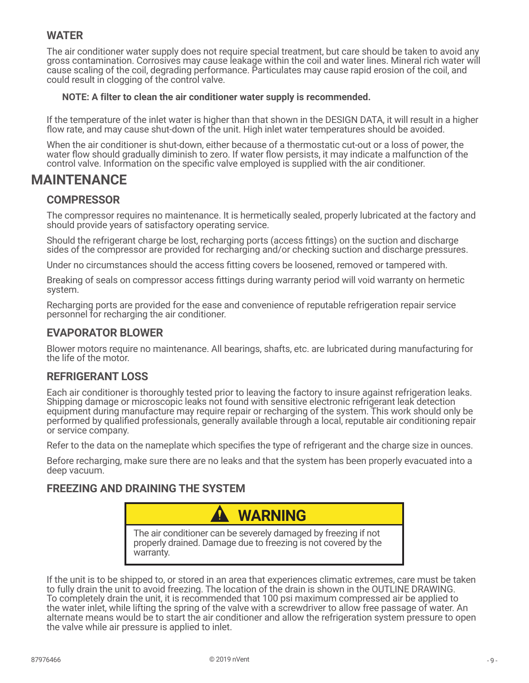## <span id="page-8-0"></span>**WATER**

The air conditioner water supply does not require special treatment, but care should be taken to avoid any gross contamination. Corrosives may cause leakage within the coil and water lines. Mineral rich water will cause scaling of the coil, degrading performance. Particulates may cause rapid erosion of the coil, and could result in clogging of the control valve.

#### **NOTE: A filter to clean the air conditioner water supply is recommended.**

If the temperature of the inlet water is higher than that shown in the DESIGN DATA, it will result in a higher flow rate, and may cause shut-down of the unit. High inlet water temperatures should be avoided.

When the air conditioner is shut-down, either because of a thermostatic cut-out or a loss of power, the water flow should gradually diminish to zero. If water flow persists, it may indicate a malfunction of the control valve. Information on the specific valve employed is supplied with the air conditioner.

## **MAINTENANCE**

#### **COMPRESSOR**

The compressor requires no maintenance. It is hermetically sealed, properly lubricated at the factory and should provide years of satisfactory operating service.

Should the refrigerant charge be lost, recharging ports (access fittings) on the suction and discharge sides of the compressor are provided for recharging and/or checking suction and discharge pressures.

Under no circumstances should the access fitting covers be loosened, removed or tampered with.

Breaking of seals on compressor access fittings during warranty period will void warranty on hermetic system.

Recharging ports are provided for the ease and convenience of reputable refrigeration repair service personnel for recharging the air conditioner.

#### **EVAPORATOR BLOWER**

Blower motors require no maintenance. All bearings, shafts, etc. are lubricated during manufacturing for the life of the motor.

#### **REFRIGERANT LOSS**

Each air conditioner is thoroughly tested prior to leaving the factory to insure against refrigeration leaks. Shipping damage or microscopic leaks not found with sensitive electronic refrigerant leak detection equipment during manufacture may require repair or recharging of the system. This work should only be performed by qualified professionals, generally available through a local, reputable air conditioning repair or service company.

Refer to the data on the nameplate which specifies the type of refrigerant and the charge size in ounces.

Before recharging, make sure there are no leaks and that the system has been properly evacuated into a deep vacuum.

#### **FREEZING AND DRAINING THE SYSTEM**



If the unit is to be shipped to, or stored in an area that experiences climatic extremes, care must be taken to fully drain the unit to avoid freezing. The location of the drain is shown in the OUTLINE DRAWING. To completely drain the unit, it is recommended that 100 psi maximum compressed air be applied to the water inlet, while lifting the spring of the valve with a screwdriver to allow free passage of water. An alternate means would be to start the air conditioner and allow the refrigeration system pressure to open the valve while air pressure is applied to inlet.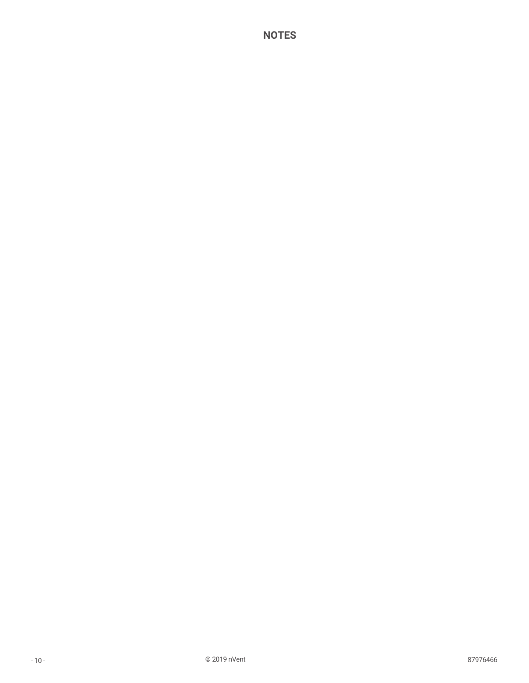#### **NOTES**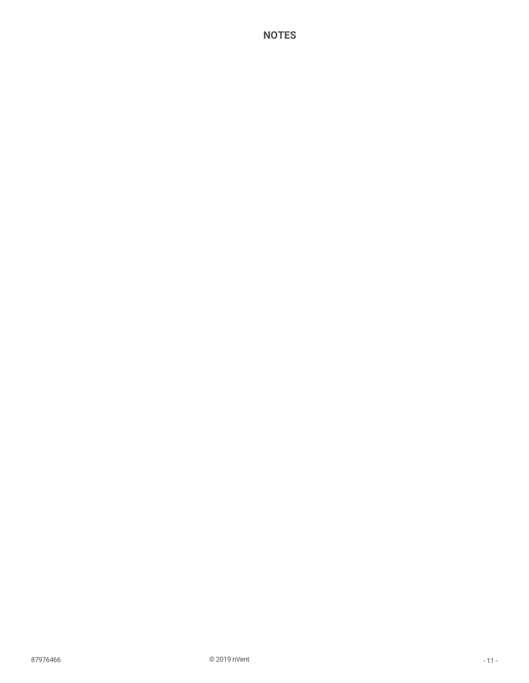#### **NOTES**